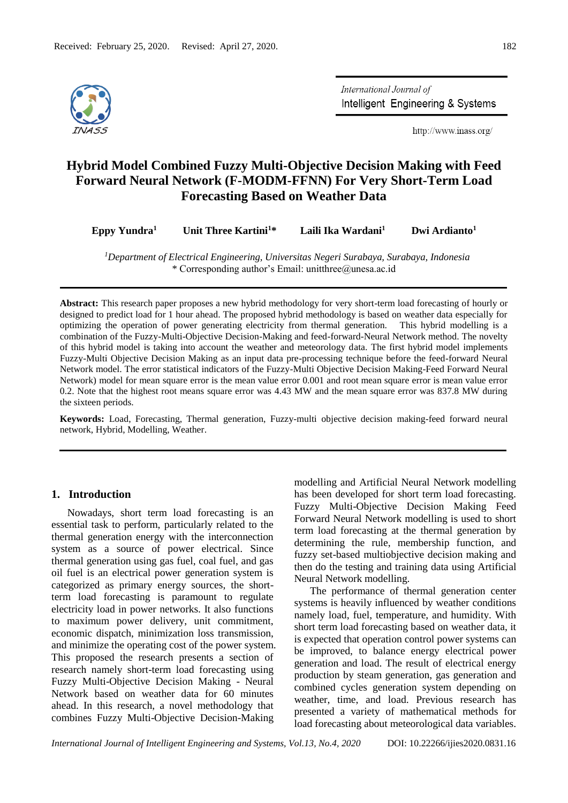

International Journal of Intelligent Engineering & Systems

http://www.inass.org/

# **Hybrid Model Combined Fuzzy Multi-Objective Decision Making with Feed Forward Neural Network (F-MODM-FFNN) For Very Short-Term Load Forecasting Based on Weather Data**

**Eppy Yundra<sup>1</sup> Unit Three Kartini<sup>1</sup>\* Laili Ika Wardani<sup>1</sup> Dwi Ardianto<sup>1</sup>**

*<sup>1</sup>Department of Electrical Engineering, Universitas Negeri Surabaya, Surabaya, Indonesia* \* Corresponding author's Email: unitthree@unesa.ac.id

**Abstract:** This research paper proposes a new hybrid methodology for very short-term load forecasting of hourly or designed to predict load for 1 hour ahead. The proposed hybrid methodology is based on weather data especially for optimizing the operation of power generating electricity from thermal generation. This hybrid modelling is a combination of the Fuzzy-Multi-Objective Decision-Making and feed-forward-Neural Network method. The novelty of this hybrid model is taking into account the weather and meteorology data. The first hybrid model implements Fuzzy-Multi Objective Decision Making as an input data pre-processing technique before the feed-forward Neural Network model. The error statistical indicators of the Fuzzy-Multi Objective Decision Making-Feed Forward Neural Network) model for mean square error is the mean value error 0.001 and root mean square error is mean value error 0.2. Note that the highest root means square error was 4.43 MW and the mean square error was 837.8 MW during the sixteen periods.

**Keywords:** Load, Forecasting, Thermal generation, Fuzzy-multi objective decision making-feed forward neural network, Hybrid, Modelling, Weather.

# **1. Introduction**

Nowadays, short term load forecasting is an essential task to perform, particularly related to the thermal generation energy with the interconnection system as a source of power electrical. Since thermal generation using gas fuel, coal fuel, and gas oil fuel is an electrical power generation system is categorized as primary energy sources, the shortterm load forecasting is paramount to regulate electricity load in power networks. It also functions to maximum power delivery, unit commitment, economic dispatch, minimization loss transmission, and minimize the operating cost of the power system. This proposed the research presents a section of research namely short-term load forecasting using Fuzzy Multi-Objective Decision Making - Neural Network based on weather data for 60 minutes ahead. In this research, a novel methodology that combines Fuzzy Multi-Objective Decision-Making

modelling and Artificial Neural Network modelling has been developed for short term load forecasting. Fuzzy Multi-Objective Decision Making Feed Forward Neural Network modelling is used to short term load forecasting at the thermal generation by determining the rule, membership function, and fuzzy set-based multiobjective decision making and then do the testing and training data using Artificial Neural Network modelling.

The performance of thermal generation center systems is heavily influenced by weather conditions namely load, fuel, temperature, and humidity. With short term load forecasting based on weather data, it is expected that operation control power systems can be improved, to balance energy electrical power generation and load. The result of electrical energy production by steam generation, gas generation and combined cycles generation system depending on weather, time, and load. Previous research has presented a variety of mathematical methods for load forecasting about meteorological data variables.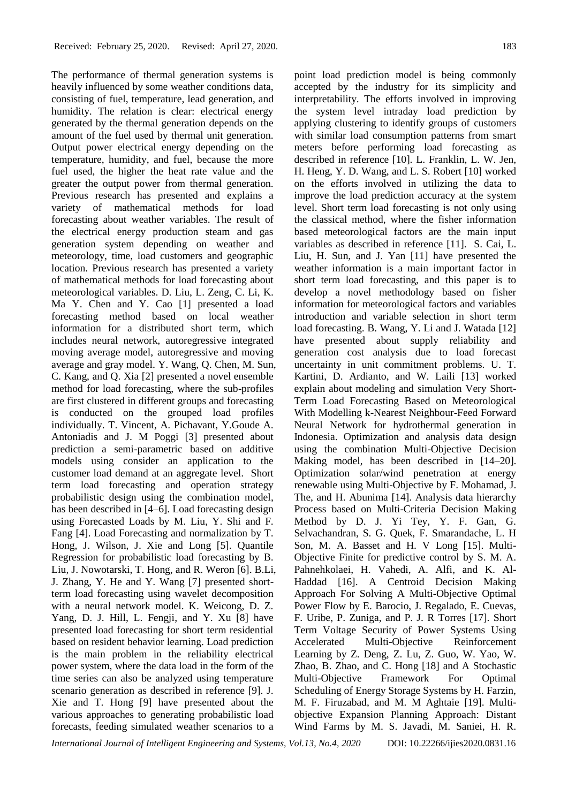The performance of thermal generation systems is heavily influenced by some weather conditions data, consisting of fuel, temperature, lead generation, and humidity. The relation is clear: electrical energy generated by the thermal generation depends on the amount of the fuel used by thermal unit generation. Output power electrical energy depending on the temperature, humidity, and fuel, because the more fuel used, the higher the heat rate value and the greater the output power from thermal generation. Previous research has presented and explains a variety of mathematical methods for load forecasting about weather variables. The result of the electrical energy production steam and gas generation system depending on weather and meteorology, time, load customers and geographic location. Previous research has presented a variety of mathematical methods for load forecasting about meteorological variables. D. Liu, L. Zeng, C. Li, K. Ma Y. Chen and Y. Cao [1] presented a load forecasting method based on local weather information for a distributed short term, which includes neural network, autoregressive integrated moving average model, autoregressive and moving average and gray model. Y. Wang, Q. Chen, M. Sun, C. Kang, and Q. Xia [2] presented a novel ensemble method for load forecasting, where the sub-profiles are first clustered in different groups and forecasting is conducted on the grouped load profiles individually. T. Vincent, A. Pichavant, Y.Goude A. Antoniadis and J. M Poggi [3] presented about prediction a semi-parametric based on additive models using consider an application to the customer load demand at an aggregate level. Short term load forecasting and operation strategy probabilistic design using the combination model, has been described in [4–6]. Load forecasting design using Forecasted Loads by M. Liu, Y. Shi and F. Fang [4]. Load Forecasting and normalization by T. Hong, J. Wilson, J. Xie and Long [5]. Quantile Regression for probabilistic load forecasting by B. Liu, J. Nowotarski, T. Hong, and R. Weron [6]. B.Li, J. Zhang, Y. He and Y. Wang [7] presented shortterm load forecasting using wavelet decomposition with a neural network model. K. Weicong, D. Z. Yang, D. J. Hill, L. Fengji, and Y. Xu [8] have presented load forecasting for short term residential based on resident behavior learning. Load prediction is the main problem in the reliability electrical power system, where the data load in the form of the time series can also be analyzed using temperature scenario generation as described in reference [9]. J. Xie and T. Hong [9] have presented about the various approaches to generating probabilistic load forecasts, feeding simulated weather scenarios to a

point load prediction model is being commonly accepted by the industry for its simplicity and interpretability. The efforts involved in improving the system level intraday load prediction by applying clustering to identify groups of customers with similar load consumption patterns from smart meters before performing load forecasting as described in reference [10]. L. Franklin, L. W. Jen, H. Heng, Y. D. Wang, and L. S. Robert [10] worked on the efforts involved in utilizing the data to improve the load prediction accuracy at the system level. Short term load forecasting is not only using the classical method, where the fisher information based meteorological factors are the main input variables as described in reference [11]. S. Cai, L. Liu, H. Sun, and J. Yan [11] have presented the weather information is a main important factor in short term load forecasting, and this paper is to develop a novel methodology based on fisher information for meteorological factors and variables introduction and variable selection in short term load forecasting. B. Wang, Y. Li and J. Watada [12] have presented about supply reliability and generation cost analysis due to load forecast uncertainty in unit commitment problems. U. T. Kartini, D. Ardianto, and W. Laili [13] worked explain about modeling and simulation Very Short-Term Load Forecasting Based on Meteorological With Modelling k-Nearest Neighbour-Feed Forward Neural Network for hydrothermal generation in Indonesia. Optimization and analysis data design using the combination Multi-Objective Decision Making model, has been described in [14–20]. Optimization solar/wind penetration at energy renewable using Multi-Objective by F. Mohamad, J. The, and H. Abunima [14]. Analysis data hierarchy Process based on Multi-Criteria Decision Making Method by D. J. Yi Tey, Y. F. Gan, G. Selvachandran, S. G. Quek, F. Smarandache, L. H Son, M. A. Basset and H. V Long [15]. Multi-Objective Finite for predictive control by S. M. A. Pahnehkolaei, H. Vahedi, A. Alfi, and K. Al-Haddad [16]. A Centroid Decision Making Approach For Solving A Multi-Objective Optimal Power Flow by E. Barocio, J. Regalado, E. Cuevas, F. Uribe, P. Zuniga, and P. J. R Torres [17]. Short Term Voltage Security of Power Systems Using Accelerated Multi-Objective Reinforcement Learning by Z. Deng, Z. Lu, Z. Guo, W. Yao, W. Zhao, B. Zhao, and C. Hong [18] and A Stochastic Multi-Objective Framework For Optimal Scheduling of Energy Storage Systems by H. Farzin, M. F. Firuzabad, and M. M Aghtaie [19]. Multiobjective Expansion Planning Approach: Distant Wind Farms by M. S. Javadi, M. Saniei, H. R.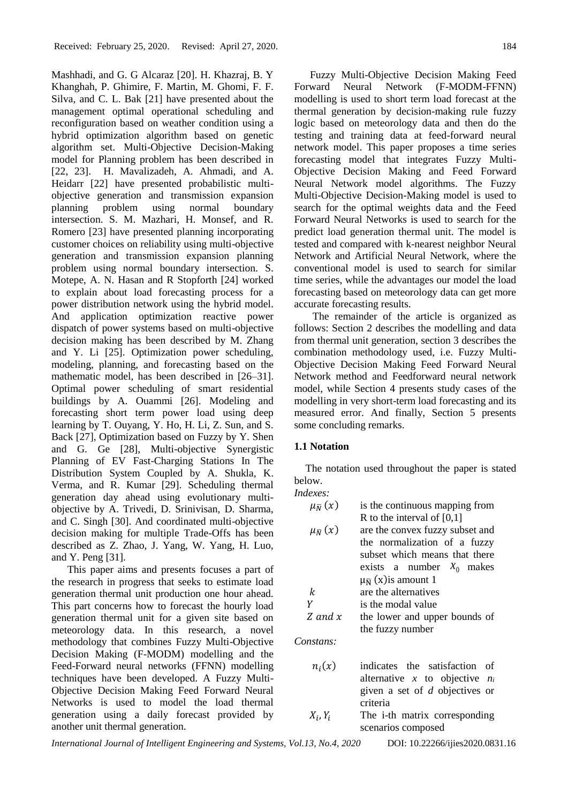Mashhadi, and G. G Alcaraz [20]. H. Khazraj, B. Y Khanghah, P. Ghimire, F. Martin, M. Ghomi, F. F. Silva, and C. L. Bak [21] have presented about the management optimal operational scheduling and reconfiguration based on weather condition using a hybrid optimization algorithm based on genetic algorithm set. Multi-Objective Decision-Making model for Planning problem has been described in [22, 23]. H. Mavalizadeh, A. Ahmadi, and A. Heidarr [22] have presented probabilistic multiobjective generation and transmission expansion planning problem using normal boundary intersection. S. M. Mazhari, H. Monsef, and R. Romero [23] have presented planning incorporating customer choices on reliability using multi-objective generation and transmission expansion planning problem using normal boundary intersection. S. Motepe, A. N. Hasan and R Stopforth [24] worked to explain about load forecasting process for a power distribution network using the hybrid model. And application optimization reactive power dispatch of power systems based on multi-objective decision making has been described by M. Zhang and Y. Li [25]. Optimization power scheduling, modeling, planning, and forecasting based on the mathematic model, has been described in [26–31]. Optimal power scheduling of smart residential buildings by A. Ouammi [26]. Modeling and forecasting short term power load using deep learning by T. Ouyang, Y. Ho, H. Li, Z. Sun, and S. Back [27], Optimization based on Fuzzy by Y. Shen and G. Ge [28], Multi-objective Synergistic Planning of EV Fast-Charging Stations In The Distribution System Coupled by A. Shukla, K. Verma, and R. Kumar [29]. Scheduling thermal generation day ahead using evolutionary multiobjective by A. Trivedi, D. Srinivisan, D. Sharma, and C. Singh [30]. And coordinated multi-objective decision making for multiple Trade-Offs has been described as Z. Zhao, J. Yang, W. Yang, H. Luo, and Y. Peng [31].

This paper aims and presents focuses a part of the research in progress that seeks to estimate load generation thermal unit production one hour ahead. This part concerns how to forecast the hourly load generation thermal unit for a given site based on meteorology data. In this research, a novel methodology that combines Fuzzy Multi-Objective Decision Making (F-MODM) modelling and the Feed-Forward neural networks (FFNN) modelling techniques have been developed. A Fuzzy Multi-Objective Decision Making Feed Forward Neural Networks is used to model the load thermal generation using a daily forecast provided by another unit thermal generation.

Fuzzy Multi-Objective Decision Making Feed Forward Neural Network (F-MODM-FFNN) modelling is used to short term load forecast at the thermal generation by decision-making rule fuzzy logic based on meteorology data and then do the testing and training data at feed-forward neural network model. This paper proposes a time series forecasting model that integrates Fuzzy Multi-Objective Decision Making and Feed Forward Neural Network model algorithms. The Fuzzy Multi-Objective Decision-Making model is used to search for the optimal weights data and the Feed Forward Neural Networks is used to search for the predict load generation thermal unit. The model is tested and compared with k-nearest neighbor Neural Network and Artificial Neural Network, where the conventional model is used to search for similar time series, while the advantages our model the load forecasting based on meteorology data can get more accurate forecasting results.

The remainder of the article is organized as follows: Section 2 describes the modelling and data from thermal unit generation, section 3 describes the combination methodology used, i.e. Fuzzy Multi-Objective Decision Making Feed Forward Neural Network method and Feedforward neural network model, while Section 4 presents study cases of the modelling in very short-term load forecasting and its measured error. And finally, Section 5 presents some concluding remarks.

#### **1.1 Notation**

*Indexes:*

The notation used throughout the paper is stated below.

| $\mu_{\overline{N}}(x)$ | is the continuous mapping from      |
|-------------------------|-------------------------------------|
|                         | R to the interval of $[0,1]$        |
| $\mu_{\overline{N}}(x)$ | are the convex fuzzy subset and     |
|                         | the normalization of a fuzzy        |
|                         | subset which means that there       |
|                         | exists a number $x_0$ makes         |
|                         | $\mu_{\overline{N}}(x)$ is amount 1 |
| k                       | are the alternatives                |
| V                       | is the modal value                  |
| Z and $x$               | the lower and upper bounds of       |
|                         | the fuzzy number                    |

*Constans:*

| $n_i(x)$   | indicates the satisfaction of    |
|------------|----------------------------------|
|            | alternative x to objective $n_i$ |
|            | given a set of $d$ objectives or |
|            | criteria                         |
| $X_i, Y_i$ | The i-th matrix corresponding    |
|            | scenarios composed               |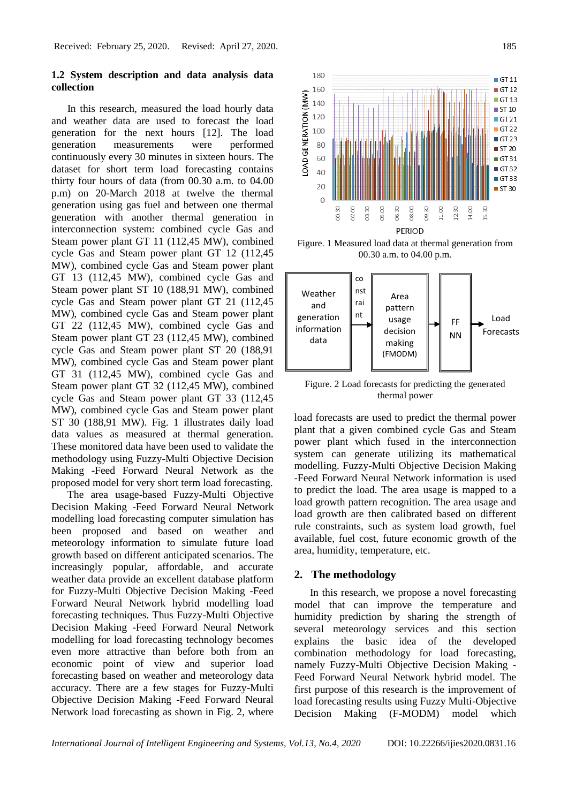# **1.2 System description and data analysis data collection**

In this research, measured the load hourly data and weather data are used to forecast the load generation for the next hours [12]. The load generation measurements were performed continuously every 30 minutes in sixteen hours. The dataset for short term load forecasting contains thirty four hours of data (from 00.30 a.m. to 04.00 p.m) on 20-March 2018 at twelve the thermal generation using gas fuel and between one thermal generation with another thermal generation in interconnection system: combined cycle Gas and Steam power plant GT 11 (112,45 MW), combined cycle Gas and Steam power plant GT 12 (112,45 MW), combined cycle Gas and Steam power plant GT 13 (112,45 MW), combined cycle Gas and Steam power plant ST 10 (188,91 MW), combined cycle Gas and Steam power plant GT 21 (112,45 MW), combined cycle Gas and Steam power plant GT 22 (112,45 MW), combined cycle Gas and Steam power plant GT 23 (112,45 MW), combined cycle Gas and Steam power plant ST 20 (188,91 MW), combined cycle Gas and Steam power plant GT 31 (112,45 MW), combined cycle Gas and Steam power plant GT 32 (112,45 MW), combined cycle Gas and Steam power plant GT 33 (112,45 MW), combined cycle Gas and Steam power plant ST 30 (188,91 MW). Fig. 1 illustrates daily load data values as measured at thermal generation. These monitored data have been used to validate the methodology using Fuzzy-Multi Objective Decision Making -Feed Forward Neural Network as the proposed model for very short term load forecasting.

The area usage-based Fuzzy-Multi Objective Decision Making -Feed Forward Neural Network modelling load forecasting computer simulation has been proposed and based on weather and meteorology information to simulate future load growth based on different anticipated scenarios. The increasingly popular, affordable, and accurate weather data provide an excellent database platform for Fuzzy-Multi Objective Decision Making -Feed Forward Neural Network hybrid modelling load forecasting techniques. Thus Fuzzy-Multi Objective Decision Making -Feed Forward Neural Network modelling for load forecasting technology becomes even more attractive than before both from an economic point of view and superior load forecasting based on weather and meteorology data accuracy. There are a few stages for Fuzzy-Multi Objective Decision Making -Feed Forward Neural Network load forecasting as shown in Fig. 2, where



Figure. 1 Measured load data at thermal generation from 00.30 a.m. to 04.00 p.m.



Figure. 2 Load forecasts for predicting the generated thermal power

load forecasts are used to predict the thermal power plant that a given combined cycle Gas and Steam power plant which fused in the interconnection system can generate utilizing its mathematical modelling. Fuzzy-Multi Objective Decision Making -Feed Forward Neural Network information is used to predict the load. The area usage is mapped to a load growth pattern recognition. The area usage and load growth are then calibrated based on different rule constraints, such as system load growth, fuel available, fuel cost, future economic growth of the area, humidity, temperature, etc.

#### **2. The methodology**

In this research, we propose a novel forecasting model that can improve the temperature and humidity prediction by sharing the strength of several meteorology services and this section explains the basic idea of the developed combination methodology for load forecasting, namely Fuzzy-Multi Objective Decision Making - Feed Forward Neural Network hybrid model. The first purpose of this research is the improvement of load forecasting results using Fuzzy Multi-Objective Decision Making (F-MODM) model which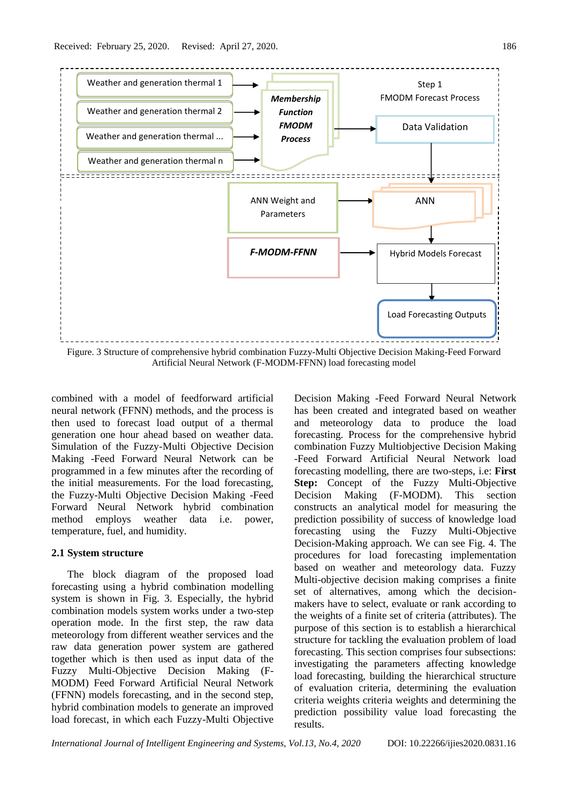

Artificial Neural Network (F-MODM-FFNN) load forecasting model

combined with a model of feedforward artificial neural network (FFNN) methods, and the process is then used to forecast load output of a thermal generation one hour ahead based on weather data. Simulation of the Fuzzy-Multi Objective Decision Making -Feed Forward Neural Network can be programmed in a few minutes after the recording of the initial measurements. For the load forecasting, the Fuzzy-Multi Objective Decision Making -Feed Forward Neural Network hybrid combination method employs weather data i.e. power, temperature, fuel, and humidity.

#### **2.1 System structure**

The block diagram of the proposed load forecasting using a hybrid combination modelling system is shown in Fig. 3. Especially, the hybrid combination models system works under a two-step operation mode. In the first step, the raw data meteorology from different weather services and the raw data generation power system are gathered together which is then used as input data of the Fuzzy Multi-Objective Decision Making (F-MODM) Feed Forward Artificial Neural Network (FFNN) models forecasting, and in the second step, hybrid combination models to generate an improved load forecast, in which each Fuzzy-Multi Objective Decision Making -Feed Forward Neural Network has been created and integrated based on weather and meteorology data to produce the load forecasting. Process for the comprehensive hybrid combination Fuzzy Multiobjective Decision Making -Feed Forward Artificial Neural Network load forecasting modelling, there are two-steps, i.e: **First Step:** Concept of the Fuzzy Multi-Objective Decision Making (F-MODM). This section constructs an analytical model for measuring the prediction possibility of success of knowledge load forecasting using the Fuzzy Multi-Objective Decision-Making approach. We can see Fig. 4. The procedures for load forecasting implementation based on weather and meteorology data. Fuzzy Multi-objective decision making comprises a finite set of alternatives, among which the decisionmakers have to select, evaluate or rank according to the weights of a finite set of criteria (attributes). The purpose of this section is to establish a hierarchical structure for tackling the evaluation problem of load forecasting. This section comprises four subsections: investigating the parameters affecting knowledge load forecasting, building the hierarchical structure of evaluation criteria, determining the evaluation criteria weights criteria weights and determining the prediction possibility value load forecasting the results.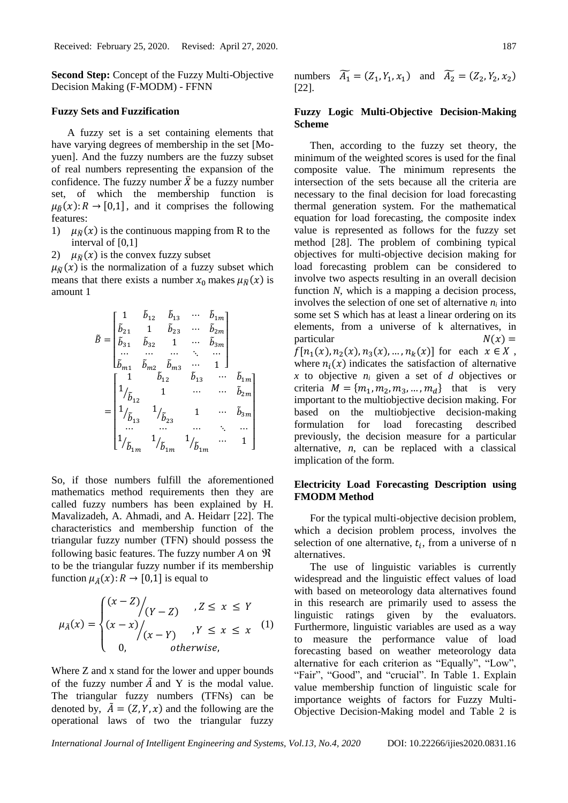**Second Step:** Concept of the Fuzzy Multi-Objective Decision Making (F-MODM) - FFNN

#### **Fuzzy Sets and Fuzzification**

A fuzzy set is a set containing elements that have varying degrees of membership in the set [Moyuen]. And the fuzzy numbers are the fuzzy subset of real numbers representing the expansion of the confidence. The fuzzy number  $\tilde{X}$  be a fuzzy number set, of which the membership function is  $\mu_{\tilde{B}}(x): R \to [0,1]$ , and it comprises the following features:

- 1)  $\mu_{\tilde{N}}(x)$  is the continuous mapping from R to the interval of [0,1]
- 2)  $\mu_{\widetilde{N}}(x)$  is the convex fuzzy subset

 $\mu_{\tilde{N}}(x)$  is the normalization of a fuzzy subset which means that there exists a number  $x_0$  makes  $\mu_{\tilde{N}}(x)$  is amount 1

$$
\tilde{B} = \begin{bmatrix}\n1 & \tilde{b}_{12} & \tilde{b}_{13} & \cdots & \tilde{b}_{1m} \\
\tilde{b}_{21} & 1 & \tilde{b}_{23} & \cdots & \tilde{b}_{2m} \\
\tilde{b}_{31} & \tilde{b}_{32} & 1 & \cdots & \tilde{b}_{3m} \\
\vdots & \vdots & \ddots & \vdots & \ddots & \vdots \\
\tilde{b}_{m1} & \tilde{b}_{m2} & \tilde{b}_{m3} & \cdots & 1\n\end{bmatrix}
$$
\n
$$
= \begin{bmatrix}\n1 & \tilde{b}_{12} & \tilde{b}_{13} & \cdots & \tilde{b}_{1m} \\
1/\tilde{b}_{12} & 1 & \cdots & \cdots & \tilde{b}_{2m} \\
1/\tilde{b}_{13} & 1/\tilde{b}_{23} & 1 & \cdots & \tilde{b}_{3m} \\
\vdots & \vdots & \ddots & \vdots & \ddots & \vdots \\
1/\tilde{b}_{1m} & 1/\tilde{b}_{1m} & 1/\tilde{b}_{1m} & \cdots & 1\n\end{bmatrix}
$$

So, if those numbers fulfill the aforementioned mathematics method requirements then they are called fuzzy numbers has been explained by H. Mavalizadeh, A. Ahmadi, and A. Heidarr [22]. The characteristics and membership function of the triangular fuzzy number (TFN) should possess the following basic features. The fuzzy number *A* on to be the triangular fuzzy number if its membership function  $\mu_{\tilde{A}}(x): R \to [0,1]$  is equal to

$$
\mu_{\tilde{A}}(x) = \begin{cases}\n(x - Z) / (Y - Z) & , Z \leq x \leq Y \\
(x - x) / (x - Y) & , Y \leq x \leq x \\
0, & \text{otherwise,} \n\end{cases}
$$
\n(1)

Where Z and x stand for the lower and upper bounds of the fuzzy number  $\tilde{A}$  and Y is the modal value. The triangular fuzzy numbers (TFNs) can be denoted by,  $\tilde{A} = (Z, Y, x)$  and the following are the operational laws of two the triangular fuzzy

numbers 
$$
\widetilde{A}_1 = (Z_1, Y_1, x_1)
$$
 and  $\widetilde{A}_2 = (Z_2, Y_2, x_2)$   
[22].

# **Fuzzy Logic Multi-Objective Decision-Making Scheme**

Then, according to the fuzzy set theory, the minimum of the weighted scores is used for the final composite value. The minimum represents the intersection of the sets because all the criteria are necessary to the final decision for load forecasting thermal generation system. For the mathematical equation for load forecasting, the composite index value is represented as follows for the fuzzy set method [28]. The problem of combining typical objectives for multi-objective decision making for load forecasting problem can be considered to involve two aspects resulting in an overall decision function *N*, which is a mapping a decision process, involves the selection of one set of alternative  $n_i$  into some set S which has at least a linear ordering on its elements, from a universe of k alternatives, in particular  $N(x) =$  $f[n_1(x), n_2(x), n_3(x), ..., n_k(x)]$  for each  $x \in X$ , where  $n_i(x)$  indicates the satisfaction of alternative *x* to objective *n<sup>i</sup>* given a set of *d* objectives or criteria  $M = \{m_1, m_2, m_3, ..., m_d\}$  that is very important to the multiobjective decision making. For based on the multiobjective decision-making formulation for load forecasting described previously, the decision measure for a particular alternative, *n*, can be replaced with a classical implication of the form.

# **Electricity Load Forecasting Description using FMODM Method**

For the typical multi-objective decision problem, which a decision problem process, involves the selection of one alternative,  $t_i$ , from a universe of n alternatives.

The use of linguistic variables is currently widespread and the linguistic effect values of load with based on meteorology data alternatives found in this research are primarily used to assess the linguistic ratings given by the evaluators. Furthermore, linguistic variables are used as a way to measure the performance value of load forecasting based on weather meteorology data alternative for each criterion as "Equally", "Low", "Fair", "Good", and "crucial". In Table 1. Explain value membership function of linguistic scale for importance weights of factors for Fuzzy Multi-Objective Decision-Making model and Table 2 is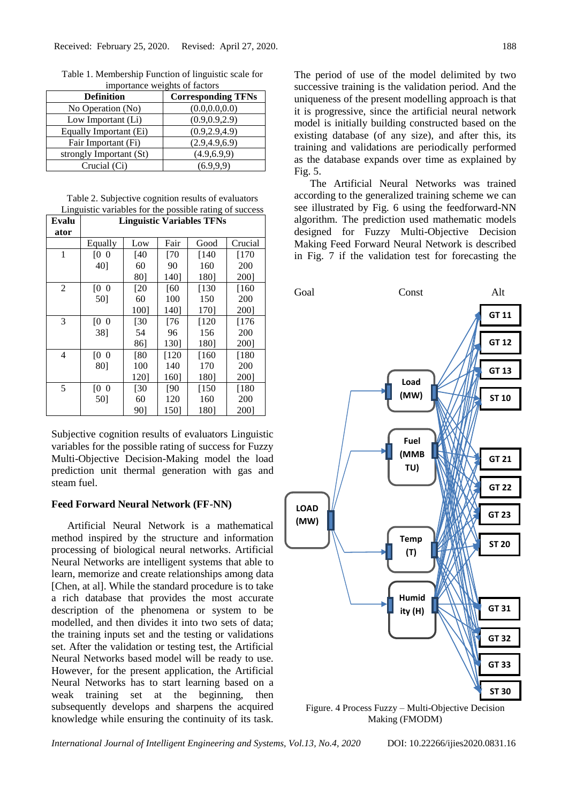| Importance weights of factors |                           |  |  |  |
|-------------------------------|---------------------------|--|--|--|
| <b>Definition</b>             | <b>Corresponding TFNs</b> |  |  |  |
| No Operation (No)             | (0.0.0.0.0.0)             |  |  |  |
| Low Important (Li)            | (0.9, 0.9, 2.9)           |  |  |  |
| Equally Important (Ei)        | (0.9, 2.9, 4.9)           |  |  |  |
| Fair Important (Fi)           | (2.9, 4.9, 6.9)           |  |  |  |
| strongly Important (St)       | (4.9, 6.9, 9)             |  |  |  |
| Crucial (Ci)                  | (6.9.9.9)                 |  |  |  |

Table 1. Membership Function of linguistic scale for importance weights of factors

Table 2. Subjective cognition results of evaluators Linguistic variables for the possible rating of success

| Evalu | <b>Linguistic Variables TFNs</b> |                   |             |        |         |  |
|-------|----------------------------------|-------------------|-------------|--------|---------|--|
| ator  |                                  |                   |             |        |         |  |
|       | Equally                          | Low               | Fair        | Good   | Crucial |  |
| 1     | [0, 0]                           | <b>140</b>        | $\sqrt{70}$ | [140   | [170    |  |
|       | 40]                              | 60                | 90          | 160    | 200     |  |
|       |                                  | 80]               | 140]        | 180]   | 2001    |  |
| 2     | [0, 0]                           | [20]              | [60]        | $[130$ | [160    |  |
|       | 501                              | 60                | 100         | 150    | 200     |  |
|       |                                  | 100]              | 1401        | 1701   | 2001    |  |
| 3     | [0, 0]                           | $\left[30\right]$ | [76         | [120   | [176]   |  |
|       | 381                              | 54                | 96          | 156    | 200     |  |
|       |                                  | 86]               | 1301        | 180]   | 2001    |  |
| 4     | [0, 0]                           | [80]              | [120        | [160   | [180    |  |
|       | 80]                              | 100               | 140         | 170    | 200     |  |
|       |                                  | 1201              | 1601        | 1801   | 2001    |  |
| 5     | <sup>[0]</sup><br>$\overline{0}$ | [30]              | [90]        | [150   | [180    |  |
|       | 50]                              | 60                | 120         | 160    | 200     |  |
|       |                                  | 901               | 1501        | 180]   | 2001    |  |

Subjective cognition results of evaluators Linguistic variables for the possible rating of success for Fuzzy Multi-Objective Decision-Making model the load prediction unit thermal generation with gas and steam fuel.

## **Feed Forward Neural Network (FF-NN)**

Artificial Neural Network is a mathematical method inspired by the structure and information processing of biological neural networks. Artificial Neural Networks are intelligent systems that able to learn, memorize and create relationships among data [Chen, at al]. While the standard procedure is to take a rich database that provides the most accurate description of the phenomena or system to be modelled, and then divides it into two sets of data; the training inputs set and the testing or validations set. After the validation or testing test, the Artificial Neural Networks based model will be ready to use. However, for the present application, the Artificial Neural Networks has to start learning based on a weak training set at the beginning, then subsequently develops and sharpens the acquired knowledge while ensuring the continuity of its task.

The period of use of the model delimited by two successive training is the validation period. And the uniqueness of the present modelling approach is that it is progressive, since the artificial neural network model is initially building constructed based on the existing database (of any size), and after this, its training and validations are periodically performed as the database expands over time as explained by Fig. 5.

The Artificial Neural Networks was trained according to the generalized training scheme we can see illustrated by Fig. 6 using the feedforward-NN algorithm. The prediction used mathematic models designed for Fuzzy Multi-Objective Decision Making Feed Forward Neural Network is described in Fig. 7 if the validation test for forecasting the



Figure. 4 Process Fuzzy – Multi-Objective Decision Making (FMODM)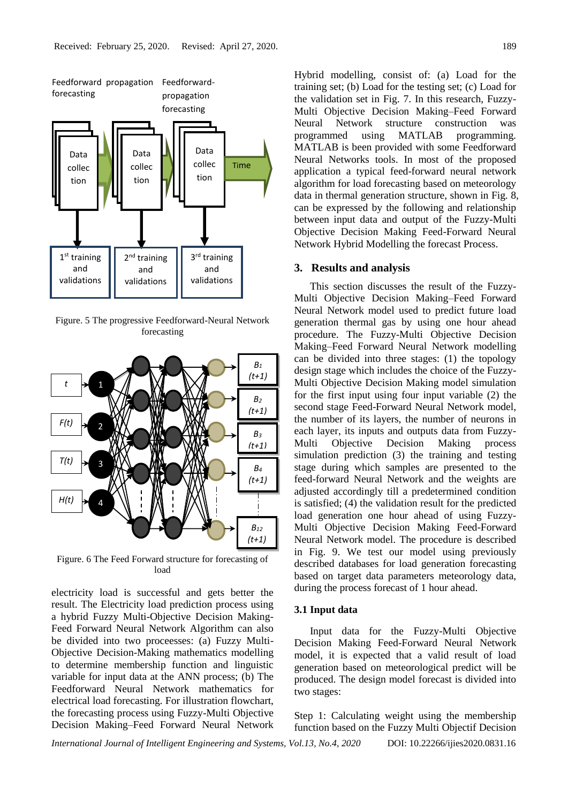

Figure. 5 The progressive Feedforward-Neural Network forecasting



Figure. 6 The Feed Forward structure for forecasting of load

electricity load is successful and gets better the result. The Electricity load prediction process using a hybrid Fuzzy Multi-Objective Decision Making-Feed Forward Neural Network Algorithm can also be divided into two proceesses: (a) Fuzzy Multi-Objective Decision-Making mathematics modelling to determine membership function and linguistic variable for input data at the ANN process; (b) The Feedforward Neural Network mathematics for electrical load forecasting. For illustration flowchart, the forecasting process using Fuzzy-Multi Objective Decision Making–Feed Forward Neural Network Hybrid modelling, consist of: (a) Load for the training set; (b) Load for the testing set; (c) Load for the validation set in Fig. 7. In this research, Fuzzy-Multi Objective Decision Making–Feed Forward Neural Network structure construction was programmed using MATLAB programming. MATLAB is been provided with some Feedforward Neural Networks tools. In most of the proposed application a typical feed-forward neural network algorithm for load forecasting based on meteorology data in thermal generation structure, shown in Fig. 8, can be expressed by the following and relationship between input data and output of the Fuzzy-Multi Objective Decision Making Feed-Forward Neural Network Hybrid Modelling the forecast Process.

#### **3. Results and analysis**

This section discusses the result of the Fuzzy-Multi Objective Decision Making–Feed Forward Neural Network model used to predict future load generation thermal gas by using one hour ahead procedure. The Fuzzy-Multi Objective Decision Making–Feed Forward Neural Network modelling can be divided into three stages: (1) the topology design stage which includes the choice of the Fuzzy-Multi Objective Decision Making model simulation for the first input using four input variable (2) the second stage Feed-Forward Neural Network model, the number of its layers, the number of neurons in each layer, its inputs and outputs data from Fuzzy-Multi Objective Decision Making process simulation prediction (3) the training and testing stage during which samples are presented to the feed-forward Neural Network and the weights are adjusted accordingly till a predetermined condition is satisfied; (4) the validation result for the predicted load generation one hour ahead of using Fuzzy-Multi Objective Decision Making Feed-Forward Neural Network model. The procedure is described in Fig. 9. We test our model using previously described databases for load generation forecasting based on target data parameters meteorology data, during the process forecast of 1 hour ahead.

#### **3.1 Input data**

Input data for the Fuzzy-Multi Objective Decision Making Feed-Forward Neural Network model, it is expected that a valid result of load generation based on meteorological predict will be produced. The design model forecast is divided into two stages:

Step 1: Calculating weight using the membership function based on the Fuzzy Multi Objectif Decision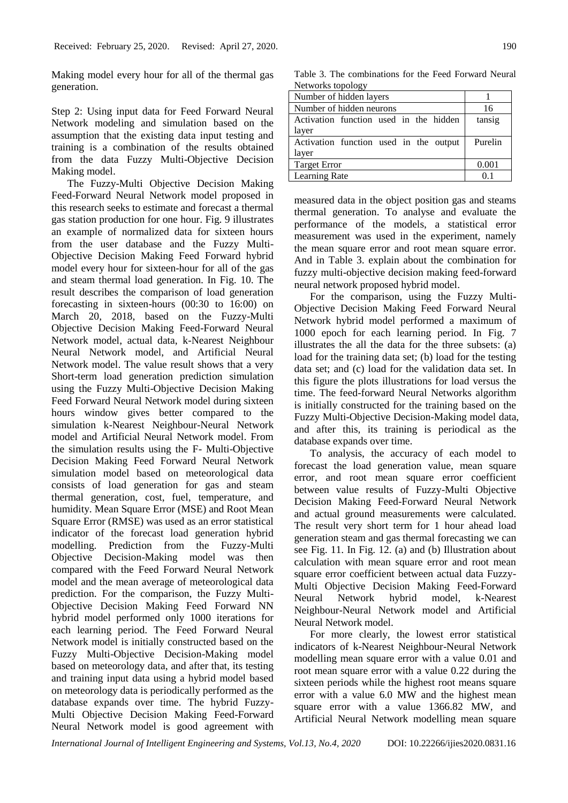Making model every hour for all of the thermal gas generation.

Step 2: Using input data for Feed Forward Neural Network modeling and simulation based on the assumption that the existing data input testing and training is a combination of the results obtained from the data Fuzzy Multi-Objective Decision Making model.

The Fuzzy-Multi Objective Decision Making Feed-Forward Neural Network model proposed in this research seeks to estimate and forecast a thermal gas station production for one hour. Fig. 9 illustrates an example of normalized data for sixteen hours from the user database and the Fuzzy Multi-Objective Decision Making Feed Forward hybrid model every hour for sixteen-hour for all of the gas and steam thermal load generation. In Fig. 10. The result describes the comparison of load generation forecasting in sixteen-hours (00:30 to 16:00) on March 20, 2018, based on the Fuzzy-Multi Objective Decision Making Feed-Forward Neural Network model, actual data, k-Nearest Neighbour Neural Network model, and Artificial Neural Network model. The value result shows that a very Short-term load generation prediction simulation using the Fuzzy Multi-Objective Decision Making Feed Forward Neural Network model during sixteen hours window gives better compared to the simulation k-Nearest Neighbour-Neural Network model and Artificial Neural Network model. From the simulation results using the F- Multi-Objective Decision Making Feed Forward Neural Network simulation model based on meteorological data consists of load generation for gas and steam thermal generation, cost, fuel, temperature, and humidity. Mean Square Error (MSE) and Root Mean Square Error (RMSE) was used as an error statistical indicator of the forecast load generation hybrid modelling. Prediction from the Fuzzy-Multi Objective Decision-Making model was then compared with the Feed Forward Neural Network model and the mean average of meteorological data prediction. For the comparison, the Fuzzy Multi-Objective Decision Making Feed Forward NN hybrid model performed only 1000 iterations for each learning period. The Feed Forward Neural Network model is initially constructed based on the Fuzzy Multi-Objective Decision-Making model based on meteorology data, and after that, its testing and training input data using a hybrid model based on meteorology data is periodically performed as the database expands over time. The hybrid Fuzzy-Multi Objective Decision Making Feed-Forward Neural Network model is good agreement with

Table 3. The combinations for the Feed Forward Neural Networks topology

| Number of hidden layers                |         |
|----------------------------------------|---------|
| Number of hidden neurons               | 16      |
| Activation function used in the hidden | tansig  |
| layer                                  |         |
| Activation function used in the output | Purelin |
| layer                                  |         |
| <b>Target Error</b>                    | 0.001   |
| Learning Rate                          | O 1     |

measured data in the object position gas and steams thermal generation. To analyse and evaluate the performance of the models, a statistical error measurement was used in the experiment, namely the mean square error and root mean square error. And in Table 3. explain about the combination for fuzzy multi-objective decision making feed-forward neural network proposed hybrid model.

For the comparison, using the Fuzzy Multi-Objective Decision Making Feed Forward Neural Network hybrid model performed a maximum of 1000 epoch for each learning period. In Fig. 7 illustrates the all the data for the three subsets: (a) load for the training data set; (b) load for the testing data set; and (c) load for the validation data set. In this figure the plots illustrations for load versus the time. The feed-forward Neural Networks algorithm is initially constructed for the training based on the Fuzzy Multi-Objective Decision-Making model data, and after this, its training is periodical as the database expands over time.

To analysis, the accuracy of each model to forecast the load generation value, mean square error, and root mean square error coefficient between value results of Fuzzy-Multi Objective Decision Making Feed-Forward Neural Network and actual ground measurements were calculated. The result very short term for 1 hour ahead load generation steam and gas thermal forecasting we can see Fig. 11. In Fig. 12. (a) and (b) Illustration about calculation with mean square error and root mean square error coefficient between actual data Fuzzy-Multi Objective Decision Making Feed-Forward Neural Network hybrid model, k-Nearest Neighbour-Neural Network model and Artificial Neural Network model.

For more clearly, the lowest error statistical indicators of k-Nearest Neighbour-Neural Network modelling mean square error with a value 0.01 and root mean square error with a value 0.22 during the sixteen periods while the highest root means square error with a value 6.0 MW and the highest mean square error with a value 1366.82 MW, and Artificial Neural Network modelling mean square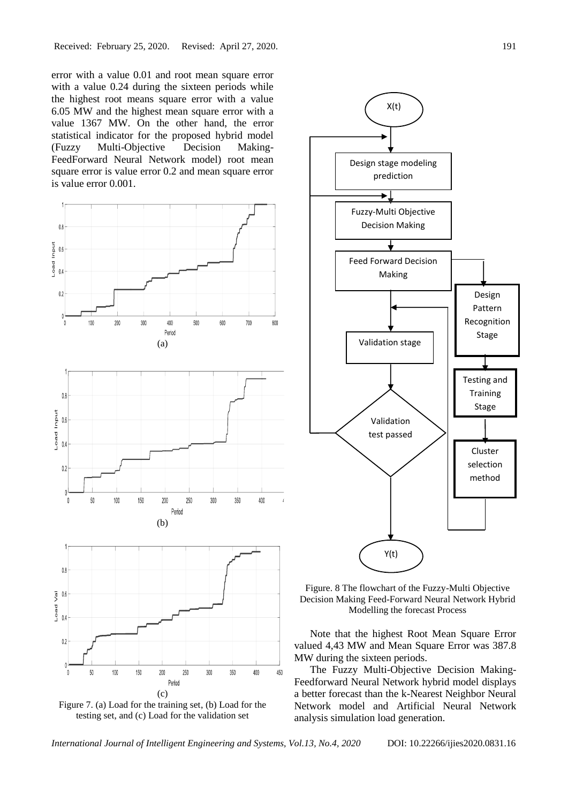error with a value 0.01 and root mean square error with a value 0.24 during the sixteen periods while the highest root means square error with a value 6.05 MW and the highest mean square error with a value 1367 MW. On the other hand, the error statistical indicator for the proposed hybrid model (Fuzzy Multi-Objective Decision Making-FeedForward Neural Network model) root mean square error is value error 0.2 and mean square error is value error 0.001.







Figure. 8 The flowchart of the Fuzzy-Multi Objective Decision Making Feed-Forward Neural Network Hybrid Modelling the forecast Process

Note that the highest Root Mean Square Error valued 4,43 MW and Mean Square Error was 387.8 MW during the sixteen periods.

The Fuzzy Multi-Objective Decision Making-Feedforward Neural Network hybrid model displays a better forecast than the k-Nearest Neighbor Neural Network model and Artificial Neural Network analysis simulation load generation.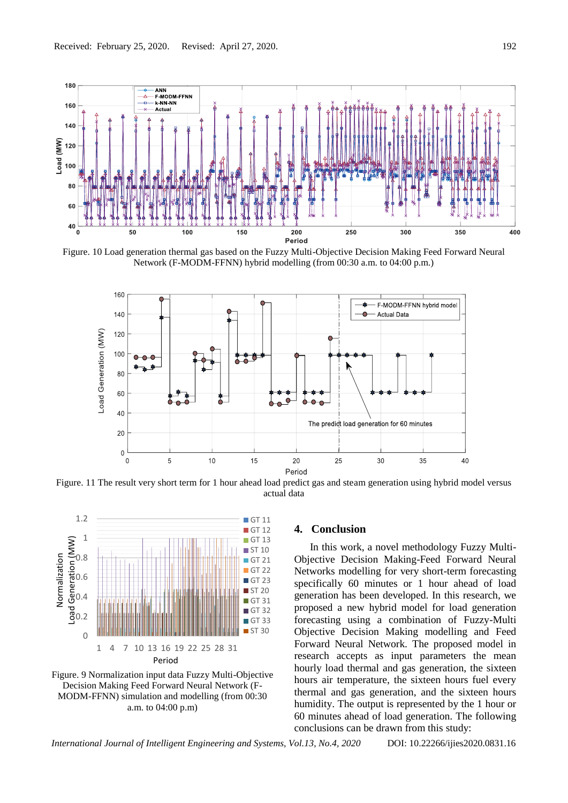

Figure. 10 Load generation thermal gas based on the Fuzzy Multi-Objective Decision Making Feed Forward Neural Network (F-MODM-FFNN) hybrid modelling (from 00:30 a.m. to 04:00 p.m.)



Figure. 11 The result very short term for 1 hour ahead load predict gas and steam generation using hybrid model versus actual data



Figure. 9 Normalization input data Fuzzy Multi-Objective Decision Making Feed Forward Neural Network (F-MODM-FFNN) simulation and modelling (from 00:30 a.m. to 04:00 p.m)

## **4. Conclusion**

In this work, a novel methodology Fuzzy Multi-Objective Decision Making-Feed Forward Neural Networks modelling for very short-term forecasting specifically 60 minutes or 1 hour ahead of load generation has been developed. In this research, we proposed a new hybrid model for load generation forecasting using a combination of Fuzzy-Multi Objective Decision Making modelling and Feed Forward Neural Network. The proposed model in research accepts as input parameters the mean hourly load thermal and gas generation, the sixteen hours air temperature, the sixteen hours fuel every thermal and gas generation, and the sixteen hours humidity. The output is represented by the 1 hour or 60 minutes ahead of load generation. The following conclusions can be drawn from this study: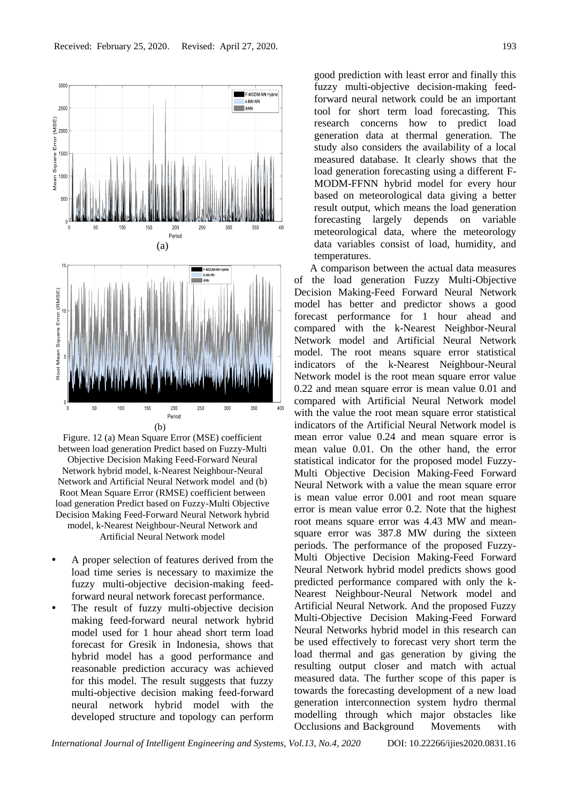

Figure. 12 (a) Mean Square Error (MSE) coefficient between load generation Predict based on Fuzzy-Multi Objective Decision Making Feed-Forward Neural Network hybrid model, k-Nearest Neighbour-Neural Network and Artificial Neural Network model and (b) Root Mean Square Error (RMSE) coefficient between load generation Predict based on Fuzzy-Multi Objective Decision Making Feed-Forward Neural Network hybrid model, k-Nearest Neighbour-Neural Network and Artificial Neural Network model

- A proper selection of features derived from the load time series is necessary to maximize the fuzzy multi-objective decision-making feedforward neural network forecast performance.
- The result of fuzzy multi-objective decision making feed-forward neural network hybrid model used for 1 hour ahead short term load forecast for Gresik in Indonesia, shows that hybrid model has a good performance and reasonable prediction accuracy was achieved for this model. The result suggests that fuzzy multi-objective decision making feed-forward neural network hybrid model with the developed structure and topology can perform

good prediction with least error and finally this fuzzy multi-objective decision-making feedforward neural network could be an important tool for short term load forecasting. This research concerns how to predict load generation data at thermal generation. The study also considers the availability of a local measured database. It clearly shows that the load generation forecasting using a different F-MODM-FFNN hybrid model for every hour based on meteorological data giving a better result output, which means the load generation forecasting largely depends on variable meteorological data, where the meteorology data variables consist of load, humidity, and temperatures.

A comparison between the actual data measures of the load generation Fuzzy Multi-Objective Decision Making-Feed Forward Neural Network model has better and predictor shows a good forecast performance for 1 hour ahead and compared with the k-Nearest Neighbor-Neural Network model and Artificial Neural Network model. The root means square error statistical indicators of the k-Nearest Neighbour-Neural Network model is the root mean square error value 0.22 and mean square error is mean value 0.01 and compared with Artificial Neural Network model with the value the root mean square error statistical indicators of the Artificial Neural Network model is mean error value 0.24 and mean square error is mean value 0.01. On the other hand, the error statistical indicator for the proposed model Fuzzy-Multi Objective Decision Making-Feed Forward Neural Network with a value the mean square error is mean value error 0.001 and root mean square error is mean value error 0.2. Note that the highest root means square error was 4.43 MW and meansquare error was 387.8 MW during the sixteen periods. The performance of the proposed Fuzzy-Multi Objective Decision Making-Feed Forward Neural Network hybrid model predicts shows good predicted performance compared with only the k-Nearest Neighbour-Neural Network model and Artificial Neural Network. And the proposed Fuzzy Multi-Objective Decision Making-Feed Forward Neural Networks hybrid model in this research can be used effectively to forecast very short term the load thermal and gas generation by giving the resulting output closer and match with actual measured data. The further scope of this paper is towards the forecasting development of a new load generation interconnection system hydro thermal modelling through which major obstacles like Occlusions and Background Movements with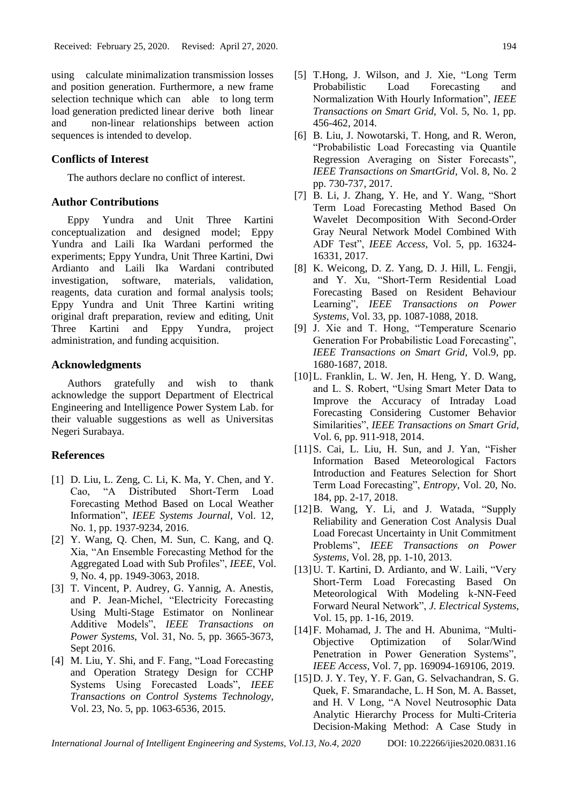using calculate minimalization transmission losses and position generation. Furthermore, a new frame selection technique which can able to long term load generation predicted linear derive both linear and non-linear relationships between action sequences is intended to develop.

## **Conflicts of Interest**

The authors declare no conflict of interest.

## **Author Contributions**

Eppy Yundra and Unit Three Kartini conceptualization and designed model; Eppy Yundra and Laili Ika Wardani performed the experiments; Eppy Yundra, Unit Three Kartini, Dwi Ardianto and Laili Ika Wardani contributed investigation, software, materials, validation, reagents, data curation and formal analysis tools; Eppy Yundra and Unit Three Kartini writing original draft preparation, review and editing, Unit Three Kartini and Eppy Yundra, project administration, and funding acquisition.

# **Acknowledgments**

Authors gratefully and wish to thank acknowledge the support Department of Electrical Engineering and Intelligence Power System Lab. for their valuable suggestions as well as Universitas Negeri Surabaya.

## **References**

- [1] D. Liu, L. Zeng, C. Li, K. Ma, Y. Chen, and Y. Cao, "A Distributed Short-Term Load Forecasting Method Based on Local Weather Information", *IEEE Systems Journal*, Vol. 12, No. 1, pp. 1937-9234, 2016.
- [2] Y. Wang, Q. Chen, M. Sun, C. Kang, and Q. Xia, "An Ensemble Forecasting Method for the Aggregated Load with Sub Profiles", *IEEE*, Vol. 9, No. 4, pp. 1949-3063, 2018.
- [3] T. Vincent, P. Audrey, G. Yannig, A. Anestis, and P. Jean-Michel, "Electricity Forecasting Using Multi-Stage Estimator on Nonlinear Additive Models", *IEEE Transactions on Power Systems*, Vol. 31, No. 5, pp. 3665-3673, Sept 2016.
- [4] M. Liu, Y. Shi, and F. Fang, "Load Forecasting and Operation Strategy Design for CCHP Systems Using Forecasted Loads", *IEEE Transactions on Control Systems Technology*, Vol. 23, No. 5, pp. 1063-6536, 2015.
- [5] T.Hong, J. Wilson, and J. Xie, "Long Term Probabilistic Load Forecasting and Normalization With Hourly Information", *IEEE Transactions on Smart Grid*, Vol. 5, No. 1, pp. 456-462, 2014.
- [6] B. Liu, J. Nowotarski, T. Hong, and R. Weron, "Probabilistic Load Forecasting via Quantile Regression Averaging on Sister Forecasts"*, IEEE Transactions on SmartGrid*, Vol. 8, No. 2 pp. 730-737, 2017.
- [7] B. Li, J. Zhang, Y. He, and Y. Wang, "Short Term Load Forecasting Method Based On Wavelet Decomposition With Second-Order Gray Neural Network Model Combined With ADF Test", *IEEE Access*, Vol. 5, pp. 16324- 16331, 2017.
- [8] K. Weicong, D. Z. Yang, D. J. Hill, L. Fengji, and Y. Xu, "Short-Term Residential Load Forecasting Based on Resident Behaviour Learning", *IEEE Transactions on Power Systems*, Vol. 33, pp. 1087-1088, 2018.
- [9] J. Xie and T. Hong, "Temperature Scenario Generation For Probabilistic Load Forecasting", *IEEE Transactions on Smart Grid*, Vol.9, pp. 1680-1687, 2018.
- [10]L. Franklin, L. W. Jen, H. Heng, Y. D. Wang, and L. S. Robert, "Using Smart Meter Data to Improve the Accuracy of Intraday Load Forecasting Considering Customer Behavior Similarities", *IEEE Transactions on Smart Grid*, Vol. 6, pp. 911-918, 2014.
- [11]S. Cai, L. Liu, H. Sun, and J. Yan, "Fisher Information Based Meteorological Factors Introduction and Features Selection for Short Term Load Forecasting", *Entropy*, Vol. 20, No. 184, pp. 2-17, 2018.
- [12]B. Wang, Y. Li, and J. Watada, "Supply Reliability and Generation Cost Analysis Dual Load Forecast Uncertainty in Unit Commitment Problems", *IEEE Transactions on Power Systems*, Vol. 28, pp. 1-10, 2013.
- [13] U. T. Kartini, D. Ardianto, and W. Laili, "Very Short-Term Load Forecasting Based On Meteorological With Modeling k-NN-Feed Forward Neural Network", *J. Electrical Systems*, Vol. 15, pp. 1-16, 2019.
- [14]F. Mohamad, J. The and H. Abunima, "Multi-Objective Optimization of Solar/Wind Penetration in Power Generation Systems", *IEEE Access*, Vol. 7, pp. 169094-169106, 2019.
- [15]D. J. Y. Tey, Y. F. Gan, G. Selvachandran, S. G. Quek, F. Smarandache, L. H Son, M. A. Basset, and H. V Long, "A Novel Neutrosophic Data Analytic Hierarchy Process for Multi-Criteria Decision-Making Method: A Case Study in